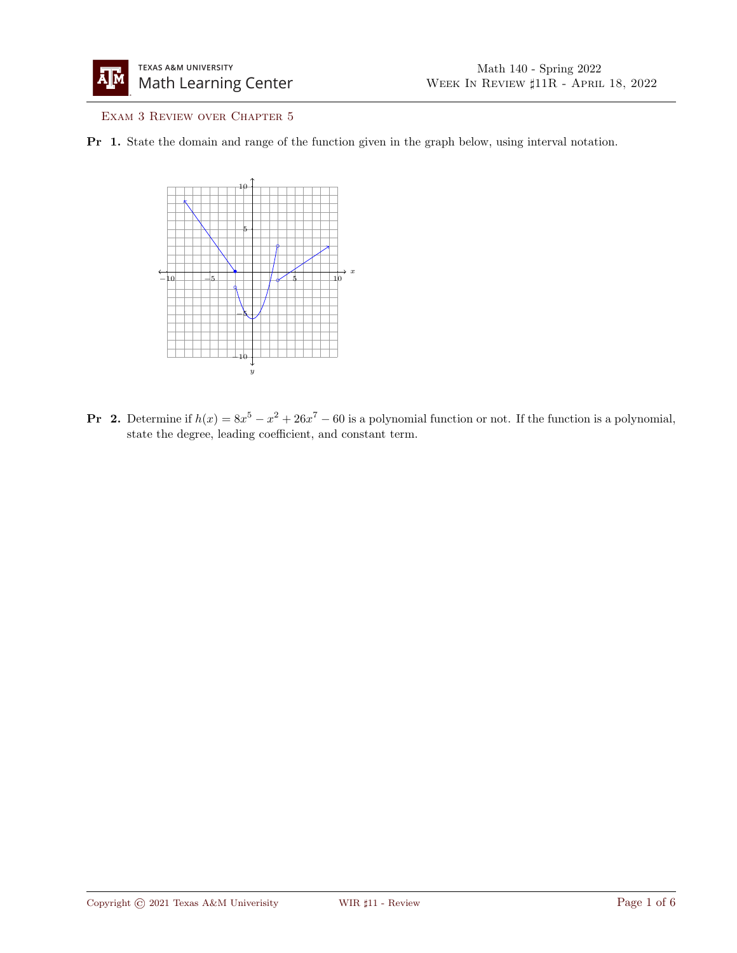## Exam 3 Review over Chapter 5

Pr 1. State the domain and range of the function given in the graph below, using interval notation.



**Pr** 2. Determine if  $h(x) = 8x^5 - x^2 + 26x^7 - 60$  is a polynomial function or not. If the function is a polynomial, state the degree, leading coefficient, and constant term.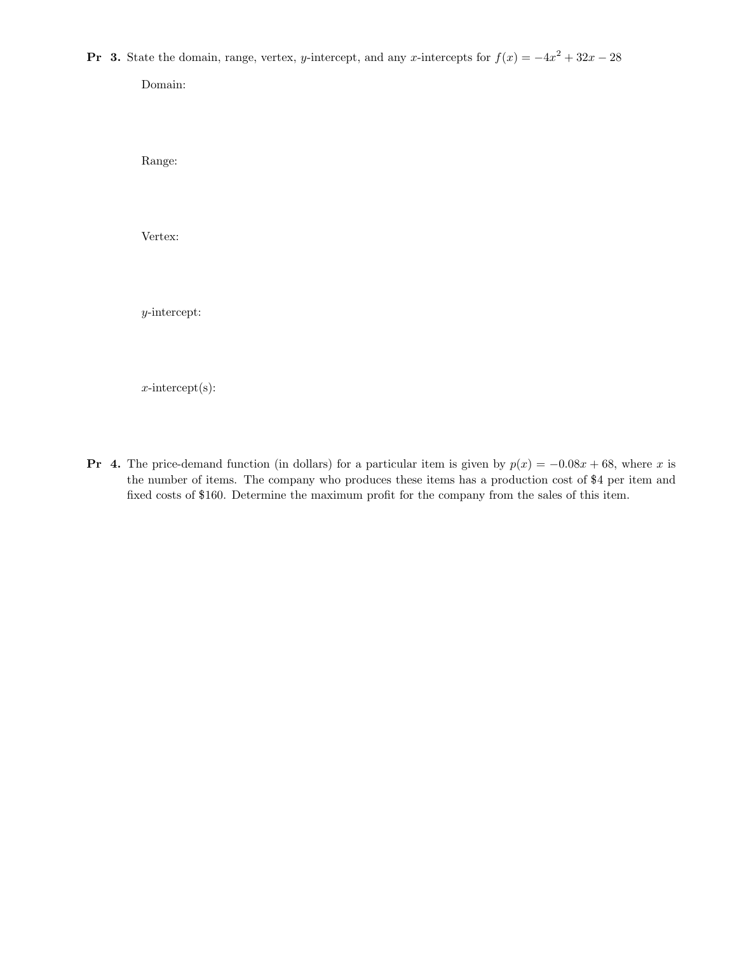**Pr** 3. State the domain, range, vertex, y-intercept, and any x-intercepts for  $f(x) = -4x^2 + 32x - 28$ 

Domain:

Range:

Vertex:

y-intercept:

x-intercept(s):

**Pr** 4. The price-demand function (in dollars) for a particular item is given by  $p(x) = -0.08x + 68$ , where x is the number of items. The company who produces these items has a production cost of \$4 per item and fixed costs of \$160. Determine the maximum profit for the company from the sales of this item.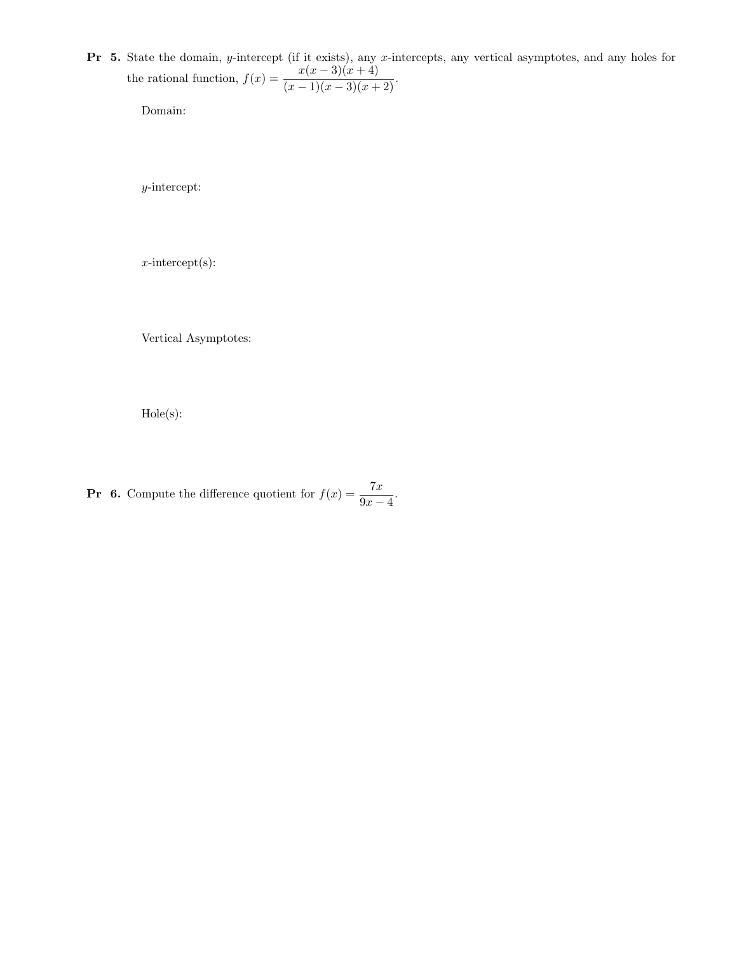Pr 5. State the domain, y-intercept (if it exists), any x-intercepts, any vertical asymptotes, and any holes for the rational function,  $f(x) = \frac{x(x-3)(x+4)}{(x-1)(x-3)(x+2)}$ .

Domain:

y-intercept:

x-intercept(s):

Vertical Asymptotes:

Hole(s):

**Pr 6.** Compute the difference quotient for  $f(x) = \frac{7x}{9x - 4}$ .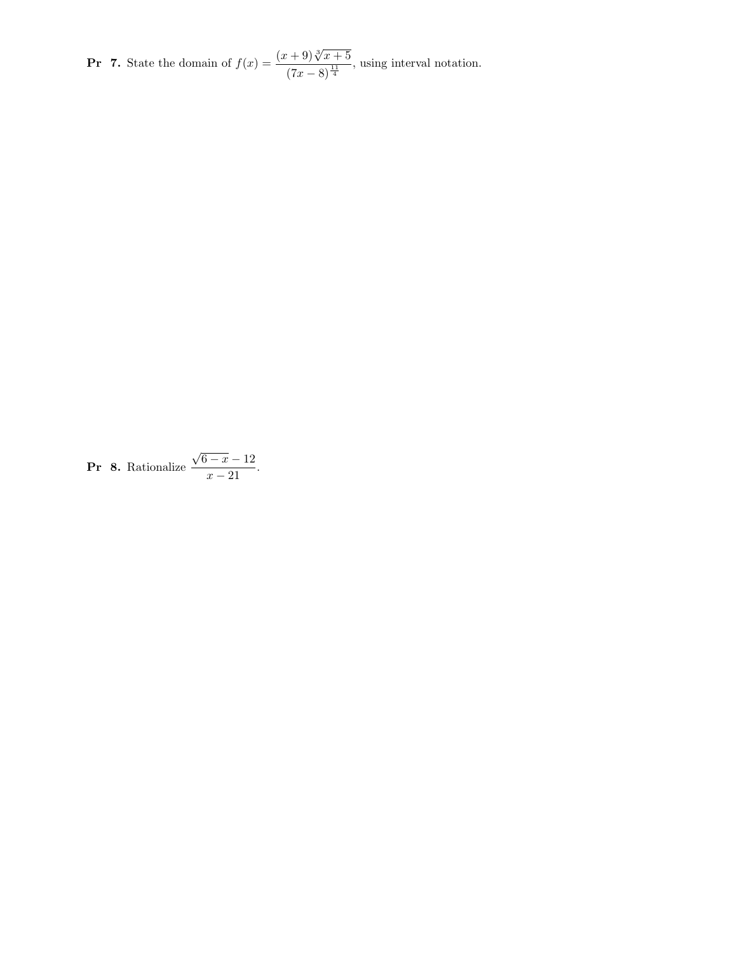**Pr 7.** State the domain of  $f(x) = \frac{(x+9)\sqrt[3]{x+5}}{(x-6)^{11}}$  $\frac{(7x-8)^{\frac{1}{4}}}{(7x-8)^{\frac{11}{4}}}$ , using interval notation.

**Pr 8.** Rationalize 
$$
\frac{\sqrt{6-x}-12}{x-21}.
$$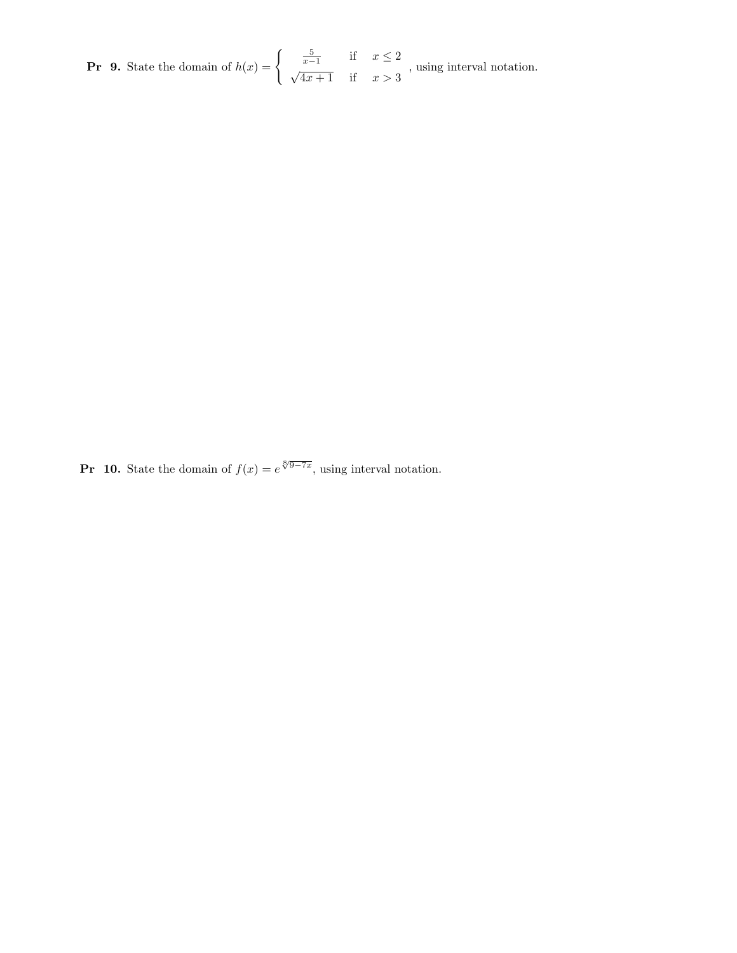**Pr** 9. State the domain of  $h(x) = \begin{cases} \frac{5}{x-1} & \text{if } x \leq 2 \end{cases}$  $\sqrt{4x+1}$  if  $x>3$ , using interval notation.

**Pr 10.** State the domain of  $f(x) = e^{\sqrt[8]{9-7x}}$ , using interval notation.